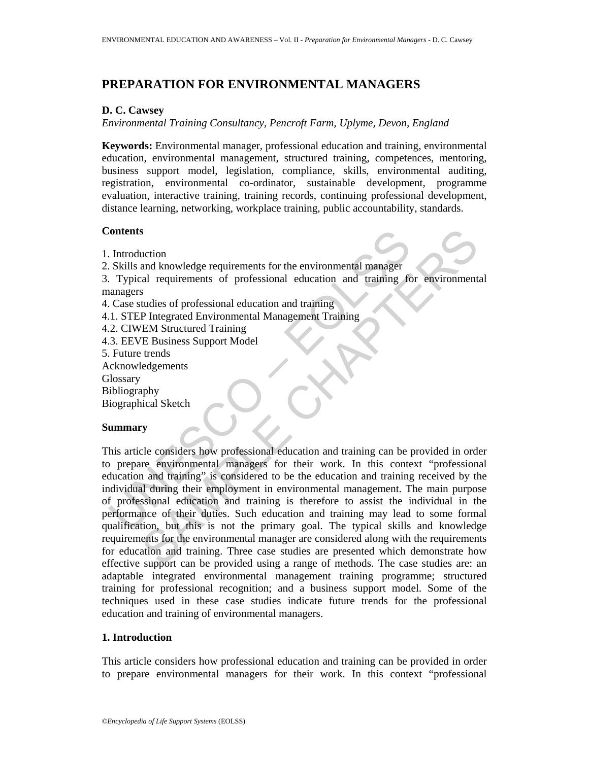## **PREPARATION FOR ENVIRONMENTAL MANAGERS**

#### **D. C. Cawsey**

*Environmental Training Consultancy, Pencroft Farm, Uplyme, Devon, England* 

**Keywords:** Environmental manager, professional education and training, environmental education, environmental management, structured training, competences, mentoring, business support model, legislation, compliance, skills, environmental auditing, registration, environmental co-ordinator, sustainable development, programme evaluation, interactive training, training records, continuing professional development, distance learning, networking, workplace training, public accountability, standards.

#### **Contents**

- 1. Introduction
- 2. Skills and knowledge requirements for the environmental manager

3. Typical requirements of professional education and training for environmental managers

- 4. Case studies of professional education and training
- 4.1. STEP Integrated Environmental Management Training
- 4.2. CIWEM Structured Training
- 4.3. EEVE Business Support Model
- 5. Future trends
- Acknowledgements
- Glossary
- Bibliography

Biographical Sketch

## **Summary**

Contents<br>
Introduction<br>
Introduction<br>
Skills and knowledge requirements for the environmental manager<br>
Introduction<br>
Typical requirements of professional education and training<br>
I. STEP Integrated Environmental Management S<br>
and knowledge requirements for the environmental manager<br>
and requirements of professional education and training<br>
For environmental<br>
SHET Entergrated Environmental Management Training<br>
TEM Structured Training<br>
TEM Stru This article considers how professional education and training can be provided in order to prepare environmental managers for their work. In this context "professional education and training" is considered to be the education and training received by the individual during their employment in environmental management. The main purpose of professional education and training is therefore to assist the individual in the performance of their duties. Such education and training may lead to some formal qualification, but this is not the primary goal. The typical skills and knowledge requirements for the environmental manager are considered along with the requirements for education and training. Three case studies are presented which demonstrate how effective support can be provided using a range of methods. The case studies are: an adaptable integrated environmental management training programme; structured training for professional recognition; and a business support model. Some of the techniques used in these case studies indicate future trends for the professional education and training of environmental managers.

## **1. Introduction**

This article considers how professional education and training can be provided in order to prepare environmental managers for their work. In this context "professional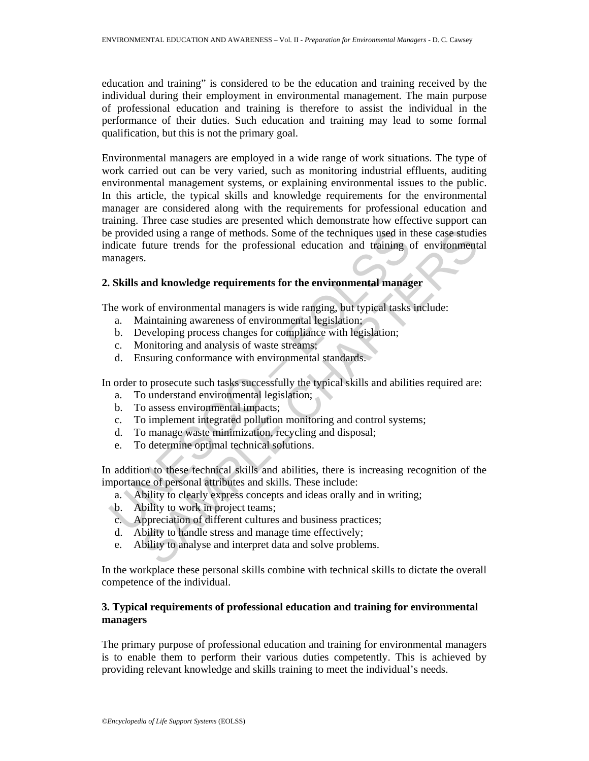education and training" is considered to be the education and training received by the individual during their employment in environmental management. The main purpose of professional education and training is therefore to assist the individual in the performance of their duties. Such education and training may lead to some formal qualification, but this is not the primary goal.

e provided using a range of methods. Some of the techniques used in the divident future trends for the professional education and training can<br>agers.<br> **Skills and knowledge requirements for the environmental managers**.<br> **S** ded using a range of methods. Some of the techniques used in these case studic<br>future trends for the professional education and training of environment<br>s.<br>s.<br>and knowledge requirements for the environmental manager<br>k of en Environmental managers are employed in a wide range of work situations. The type of work carried out can be very varied, such as monitoring industrial effluents, auditing environmental management systems, or explaining environmental issues to the public. In this article, the typical skills and knowledge requirements for the environmental manager are considered along with the requirements for professional education and training. Three case studies are presented which demonstrate how effective support can be provided using a range of methods. Some of the techniques used in these case studies indicate future trends for the professional education and training of environmental managers.

#### **2. Skills and knowledge requirements for the environmental manager**

The work of environmental managers is wide ranging, but typical tasks include:

- a. Maintaining awareness of environmental legislation;
- b. Developing process changes for compliance with legislation;
- c. Monitoring and analysis of waste streams;
- d. Ensuring conformance with environmental standards.

In order to prosecute such tasks successfully the typical skills and abilities required are:

- a. To understand environmental legislation;
- b. To assess environmental impacts;
- c. To implement integrated pollution monitoring and control systems;
- d. To manage waste minimization, recycling and disposal;
- e. To determine optimal technical solutions.

In addition to these technical skills and abilities, there is increasing recognition of the importance of personal attributes and skills. These include:

- a. Ability to clearly express concepts and ideas orally and in writing;
- b. Ability to work in project teams;
- c. Appreciation of different cultures and business practices;
- d. Ability to handle stress and manage time effectively;
- e. Ability to analyse and interpret data and solve problems.

In the workplace these personal skills combine with technical skills to dictate the overall competence of the individual.

## **3. Typical requirements of professional education and training for environmental managers**

The primary purpose of professional education and training for environmental managers is to enable them to perform their various duties competently. This is achieved by providing relevant knowledge and skills training to meet the individual's needs.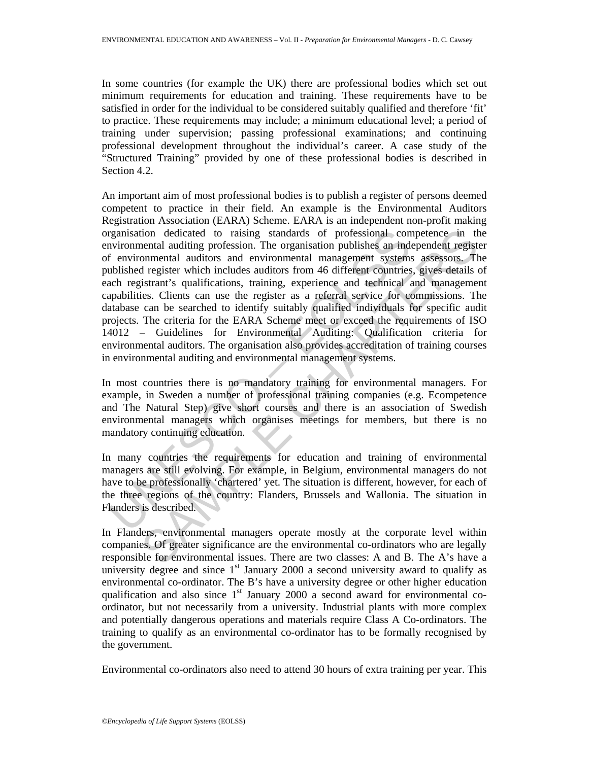In some countries (for example the UK) there are professional bodies which set out minimum requirements for education and training. These requirements have to be satisfied in order for the individual to be considered suitably qualified and therefore 'fit' to practice. These requirements may include; a minimum educational level; a period of training under supervision; passing professional examinations; and continuing professional development throughout the individual's career. A case study of the "Structured Training" provided by one of these professional bodies is described in Section 4.2.

relation dedicated to raising standards of professional convironmental and<br>invironmental and the correlation. The organisation publishes an independent system<br>invironmental and environmental management systems<br>can environm ional duditing profession. The organisation dedicated to raising standards of professional competence in the momental auditing profession. The organisation publishes an independent registers. The register which includes au An important aim of most professional bodies is to publish a register of persons deemed competent to practice in their field. An example is the Environmental Auditors Registration Association (EARA) Scheme. EARA is an independent non-profit making organisation dedicated to raising standards of professional competence in the environmental auditing profession. The organisation publishes an independent register of environmental auditors and environmental management systems assessors. The published register which includes auditors from 46 different countries, gives details of each registrant's qualifications, training, experience and technical and management capabilities. Clients can use the register as a referral service for commissions. The database can be searched to identify suitably qualified individuals for specific audit projects. The criteria for the EARA Scheme meet or exceed the requirements of ISO 14012 – Guidelines for Environmental Auditing: Qualification criteria for environmental auditors. The organisation also provides accreditation of training courses in environmental auditing and environmental management systems.

In most countries there is no mandatory training for environmental managers. For example, in Sweden a number of professional training companies (e.g. Ecompetence and The Natural Step) give short courses and there is an association of Swedish environmental managers which organises meetings for members, but there is no mandatory continuing education.

In many countries the requirements for education and training of environmental managers are still evolving. For example, in Belgium, environmental managers do not have to be professionally 'chartered' yet. The situation is different, however, for each of the three regions of the country: Flanders, Brussels and Wallonia. The situation in Flanders is described.

In Flanders, environmental managers operate mostly at the corporate level within companies. Of greater significance are the environmental co-ordinators who are legally responsible for environmental issues. There are two classes: A and B. The A's have a university degree and since  $1<sup>st</sup>$  January 2000 a second university award to qualify as environmental co-ordinator. The B's have a university degree or other higher education qualification and also since  $1<sup>st</sup>$  January 2000 a second award for environmental coordinator, but not necessarily from a university. Industrial plants with more complex and potentially dangerous operations and materials require Class A Co-ordinators. The training to qualify as an environmental co-ordinator has to be formally recognised by the government.

Environmental co-ordinators also need to attend 30 hours of extra training per year. This